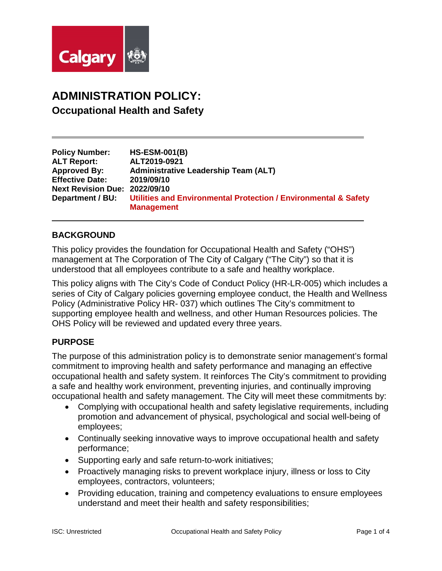

# **ADMINISTRATION POLICY: Occupational Health and Safety**

| <b>Policy Number:</b>                | <b>HS-ESM-001(B)</b>                                                       |
|--------------------------------------|----------------------------------------------------------------------------|
| <b>ALT Report:</b>                   | ALT2019-0921                                                               |
| <b>Approved By:</b>                  | <b>Administrative Leadership Team (ALT)</b>                                |
| <b>Effective Date:</b>               | 2019/09/10                                                                 |
| <b>Next Revision Due: 2022/09/10</b> |                                                                            |
| Department / BU:                     | <b>Utilities and Environmental Protection / Environmental &amp; Safety</b> |
|                                      | <b>Management</b>                                                          |

## **BACKGROUND**

This policy provides the foundation for Occupational Health and Safety ("OHS") management at The Corporation of The City of Calgary ("The City") so that it is understood that all employees contribute to a safe and healthy workplace.

This policy aligns with The City's Code of Conduct Policy (HR-LR-005) which includes a series of City of Calgary policies governing employee conduct, the Health and Wellness Policy (Administrative Policy HR- 037) which outlines The City's commitment to supporting employee health and wellness, and other Human Resources policies. The OHS Policy will be reviewed and updated every three years.

## **PURPOSE**

The purpose of this administration policy is to demonstrate senior management's formal commitment to improving health and safety performance and managing an effective occupational health and safety system. It reinforces The City's commitment to providing a safe and healthy work environment, preventing injuries, and continually improving occupational health and safety management. The City will meet these commitments by:

- Complying with occupational health and safety legislative requirements, including promotion and advancement of physical, psychological and social well-being of employees;
- Continually seeking innovative ways to improve occupational health and safety performance;
- Supporting early and safe return-to-work initiatives;
- Proactively managing risks to prevent workplace injury, illness or loss to City employees, contractors, volunteers;
- Providing education, training and competency evaluations to ensure employees understand and meet their health and safety responsibilities;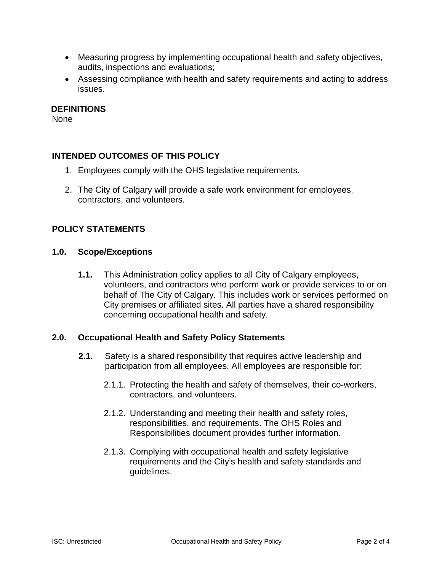- Measuring progress by implementing occupational health and safety objectives, audits, inspections and evaluations;
- Assessing compliance with health and safety requirements and acting to address issues.

#### **DEFINITIONS**

None

## **INTENDED OUTCOMES OF THIS POLICY**

- 1. Employees comply with the OHS legislative requirements.
- 2. The City of Calgary will provide a safe work environment for employees, contractors, and volunteers.

## **POLICY STATEMENTS**

#### **1.0. Scope/Exceptions**

**1.1.** This Administration policy applies to all City of Calgary employees, volunteers, and contractors who perform work or provide services to or on behalf of The City of Calgary. This includes work or services performed on City premises or affiliated sites. All parties have a shared responsibility concerning occupational health and safety.

## **2.0. Occupational Health and Safety Policy Statements**

- **2.1.** Safety is a shared responsibility that requires active leadership and participation from all employees. All employees are responsible for:
	- 2.1.1. Protecting the health and safety of themselves, their co-workers, contractors, and volunteers.
	- 2.1.2. Understanding and meeting their health and safety roles, responsibilities, and requirements. The OHS Roles and Responsibilities document provides further information.
	- 2.1.3. Complying with occupational health and safety legislative requirements and the City's health and safety standards and guidelines.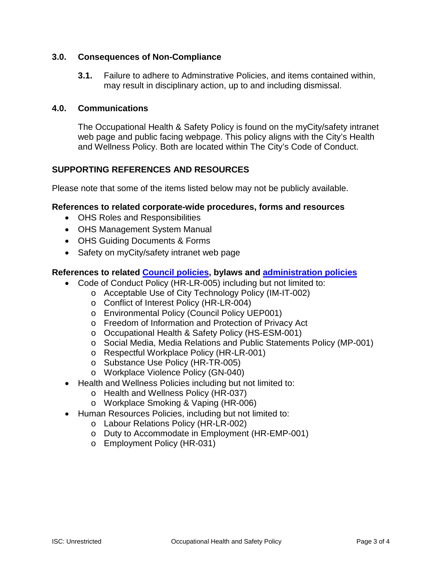## **3.0. Consequences of Non-Compliance**

**3.1.** Failure to adhere to Adminstrative Policies, and items contained within, may result in disciplinary action, up to and including dismissal.

#### **4.0. Communications**

The Occupational Health & Safety Policy is found on the myCity/safety intranet web page and public facing webpage. This policy aligns with the City's Health and Wellness Policy. Both are located within The City's Code of Conduct.

## **SUPPORTING REFERENCES AND RESOURCES**

Please note that some of the items listed below may not be publicly available.

#### **References to related corporate-wide procedures, forms and resources**

- OHS Roles and Responsibilities
- OHS Management System Manual
- OHS Guiding Documents & Forms
- Safety on myCity/safety intranet web page

#### **References to related [Council policies,](http://mycity/OurOrg/Dept/CorporateAdmin/ClerkOffice/LegServ/CounPolLib/CounPolandLibrary/Pages/SearchtheCouncilPolicyLibrary.aspx) bylaws and [administration policies](http://mycity/OurOrg/Dept/CorporateAdmin/ManagerOffice/AdministrationPolicy/Pages/Administrationpolicylibrary.aspx)**

- Code of Conduct Policy (HR-LR-005) including but not limited to:
	- o Acceptable Use of City Technology Policy (IM-IT-002)
		- o Conflict of Interest Policy (HR-LR-004)
		- o Environmental Policy (Council Policy UEP001)
		- o Freedom of Information and Protection of Privacy Act
		- o Occupational Health & Safety Policy (HS-ESM-001)
		- o Social Media, Media Relations and Public Statements Policy (MP-001)
		- o Respectful Workplace Policy (HR-LR-001)
		- o Substance Use Policy (HR-TR-005)
		- o Workplace Violence Policy (GN-040)
- Health and Wellness Policies including but not limited to:
	- o Health and Wellness Policy (HR-037)
	- o Workplace Smoking & Vaping (HR-006)
- Human Resources Policies, including but not limited to:
	- o Labour Relations Policy (HR-LR-002)
	- o Duty to Accommodate in Employment (HR-EMP-001)
	- o Employment Policy (HR-031)